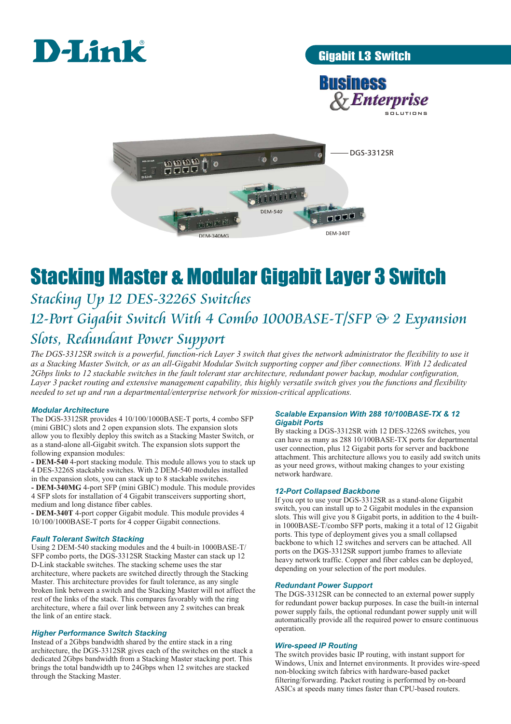

Gigabit L3 Switch





# Stacking Master & Modular Gigabit Layer 3 Switch

## *Stacking Up 12 DES-3226S Switches 12-Port Gigabit Switch With 4 Combo 1000BASE-T/SFP & 2 Expansion Slots, Redundant Power Support*

*The DGS-3312SR switch is a powerful, function-rich Layer 3 switch that gives the network administrator the flexibility to use it as a Stacking Master Switch, or as an all-Gigabit Modular Switch supporting copper and fiber connections. With 12 dedicated 2Gbps links to 12 stackable switches in the fault tolerant star architecture, redundant power backup, modular configuration, Layer 3 packet routing and extensive management capability, this highly versatile switch gives you the functions and flexibility needed to set up and run a departmental/enterprise network for mission-critical applications.* 

#### *Modular Architecture*

The DGS-3312SR provides 4 10/100/1000BASE-T ports, 4 combo SFP (mini GBIC) slots and 2 open expansion slots. The expansion slots allow you to flexibly deploy this switch as a Stacking Master Switch, or as a stand-alone all-Gigabit switch. The expansion slots support the following expansion modules:

**- DEM-540** 4-port stacking module. This module allows you to stack up 4 DES-3226S stackable switches. With 2 DEM-540 modules installed in the expansion slots, you can stack up to 8 stackable switches.

**- DEM-340MG** 4-port SFP (mini GBIC) module. This module provides 4 SFP slots for installation of 4 Gigabit transceivers supporting short, medium and long distance fiber cables.

**- DEM-340T** 4-port copper Gigabit module. This module provides 4 10/100/1000BASE-T ports for 4 copper Gigabit connections.

#### *Fault Tolerant Switch Stacking*

Using 2 DEM-540 stacking modules and the 4 built-in 1000BASE-T/ SFP combo ports, the DGS-3312SR Stacking Master can stack up 12 D-Link stackable switches. The stacking scheme uses the star architecture, where packets are switched directly through the Stacking Master. This architecture provides for fault tolerance, as any single broken link between a switch and the Stacking Master will not affect the rest of the links of the stack. This compares favorably with the ring architecture, where a fail over link between any 2 switches can break the link of an entire stack.

#### *Higher Performance Switch Stacking*

Instead of a 2Gbps bandwidth shared by the entire stack in a ring architecture, the DGS-3312SR gives each of the switches on the stack a dedicated 2Gbps bandwidth from a Stacking Master stacking port. This brings the total bandwidth up to 24Gbps when 12 switches are stacked through the Stacking Master.

#### *Scalable Expansion With 288 10/100BASE-TX & 12 Gigabit Ports*

By stacking a DGS-3312SR with 12 DES-3226S switches, you can have as many as 288 10/100BASE-TX ports for departmental user connection, plus 12 Gigabit ports for server and backbone attachment. This architecture allows you to easily add switch units as your need grows, without making changes to your existing network hardware.

#### *12-Port Collapsed Backbone*

If you opt to use your DGS-3312SR as a stand-alone Gigabit switch, you can install up to 2 Gigabit modules in the expansion slots. This will give you 8 Gigabit ports, in addition to the 4 builtin 1000BASE-T/combo SFP ports, making it a total of 12 Gigabit ports. This type of deployment gives you a small collapsed backbone to which 12 switches and servers can be attached. All ports on the DGS-3312SR support jumbo frames to alleviate heavy network traffic. Copper and fiber cables can be deployed, depending on your selection of the port modules.

#### *Redundant Power Support*

The DGS-3312SR can be connected to an external power supply for redundant power backup purposes. In case the built-in internal power supply fails, the optional redundant power supply unit will automatically provide all the required power to ensure continuous operation.

#### *Wire-speed IP Routing*

The switch provides basic IP routing, with instant support for Windows, Unix and Internet environments. It provides wire-speed non-blocking switch fabrics with hardware-based packet filtering/forwarding. Packet routing is performed by on-board ASICs at speeds many times faster than CPU-based routers.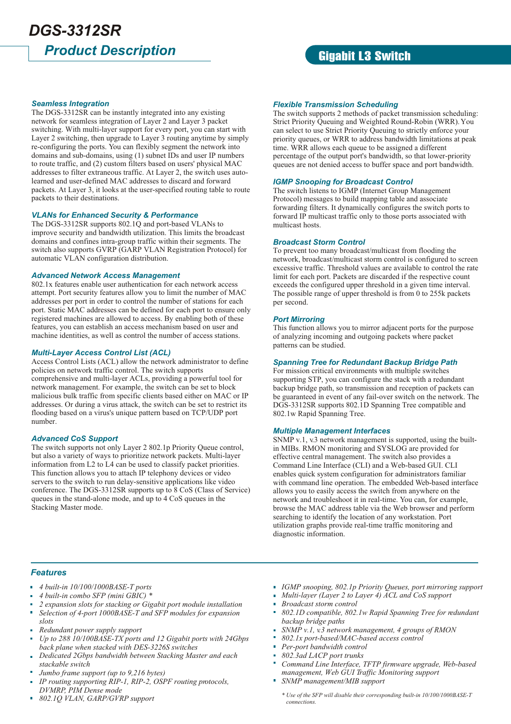## *Product Description DGS-3312SR*

### Gigabit L3 Switch

#### *Seamless Integration*

The DGS-3312SR can be instantly integrated into any existing network for seamless integration of Layer 2 and Layer 3 packet switching. With multi-layer support for every port, you can start with Layer 2 switching, then upgrade to Layer 3 routing anytime by simply re-configuring the ports. You can flexibly segment the network into domains and sub-domains, using (1) subnet IDs and user IP numbers to route traffic, and (2) custom filters based on users' physical MAC addresses to filter extraneous traffic. At Layer 2, the switch uses autolearned and user-defined MAC addresses to discard and forward packets. At Layer 3, it looks at the user-specified routing table to route packets to their destinations.

#### *VLANs for Enhanced Security & Performance*

The DGS-3312SR supports 802.1Q and port-based VLANs to improve security and bandwidth utilization. This limits the broadcast domains and confines intra-group traffic within their segments. The switch also supports GVRP (GARP VLAN Registration Protocol) for automatic VLAN configuration distribution.

#### *Advanced Network Access Management*

802.1x features enable user authentication for each network access attempt. Port security features allow you to limit the number of MAC addresses per port in order to control the number of stations for each port. Static MAC addresses can be defined for each port to ensure only registered machines are allowed to access. By enabling both of these features, you can establish an access mechanism based on user and machine identities, as well as control the number of access stations.

#### *Multi-Layer Access Control List (ACL)*

Access Control Lists (ACL) allow the network administrator to define policies on network traffic control. The switch supports comprehensive and multi-layer ACLs, providing a powerful tool for network management. For example, the switch can be set to block malicious bulk traffic from specific clients based either on MAC or IP addresses. Or during a virus attack, the switch can be set to restrict its flooding based on a virus's unique pattern based on TCP/UDP port number.

#### *Advanced CoS Support*

The switch supports not only Layer 2 802.1p Priority Queue control, but also a variety of ways to prioritize network packets. Multi-layer information from L2 to L4 can be used to classify packet priorities. This function allows you to attach IP telephony devices or video servers to the switch to run delay-sensitive applications like video conference. The DGS-3312SR supports up to 8 CoS (Class of Service) queues in the stand-alone mode, and up to 4 CoS queues in the Stacking Master mode.

#### *Flexible Transmission Scheduling*

The switch supports 2 methods of packet transmission scheduling: Strict Priority Queuing and Weighted Round-Robin (WRR). You can select to use Strict Priority Queuing to strictly enforce your priority queues, or WRR to address bandwidth limitations at peak time. WRR allows each queue to be assigned a different percentage of the output port's bandwidth, so that lower-priority queues are not denied access to buffer space and port bandwidth.

#### *IGMP Snooping for Broadcast Control*

The switch listens to IGMP (Internet Group Management Protocol) messages to build mapping table and associate forwarding filters. It dynamically configures the switch ports to forward IP multicast traffic only to those ports associated with multicast hosts.

#### *Broadcast Storm Control*

To prevent too many broadcast/multicast from flooding the network, broadcast/multicast storm control is configured to screen excessive traffic. Threshold values are available to control the rate limit for each port. Packets are discarded if the respective count exceeds the configured upper threshold in a given time interval. The possible range of upper threshold is from 0 to 255k packets per second.

#### *Port Mirroring*

This function allows you to mirror adjacent ports for the purpose of analyzing incoming and outgoing packets where packet patterns can be studied.

#### *Spanning Tree for Redundant Backup Bridge Path*

For mission critical environments with multiple switches supporting STP, you can configure the stack with a redundant backup bridge path, so transmission and reception of packets can be guaranteed in event of any fail-over switch on the network. The DGS-3312SR supports 802.1D Spanning Tree compatible and 802.1w Rapid Spanning Tree.

#### *Multiple Management Interfaces*

SNMP v.1, v.3 network management is supported, using the builtin MIBs. RMON monitoring and SYSLOG are provided for effective central management. The switch also provides a Command Line Interface (CLI) and a Web-based GUI. CLI enables quick system configuration for administrators familiar with command line operation. The embedded Web-based interface allows you to easily access the switch from anywhere on the network and troubleshoot it in real-time. You can, for example, browse the MAC address table via the Web browser and perform searching to identify the location of any workstation. Port utilization graphs provide real-time traffic monitoring and diagnostic information.

#### *Features*

- *4 built-in 10/100/1000BASE-T ports*
- *4 built-in combo SFP (mini GBIC) \**
- *2 expansion slots for stacking or Gigabit port module installation*
- *Selection of 4-port 1000BASE-T and SFP modules for expansion slots*
- *Redundant power supply support*
- *Up to 288 10/100BASE-TX ports and 12 Gigabit ports with 24Gbps back plane when stacked with DES-3226S switches*
- *Dedicated 2Gbps bandwidth between Stacking Master and each stackable switch*
- *Jumbo frame support (up to 9,216 bytes)*
- *IP routing supporting RIP-1, RIP-2, OSPF routing protocols, DVMRP, PIM Dense mode*
- *802.1Q VLAN, GARP/GVRP support*
- *IGMP snooping, 802.1p Priority Queues, port mirroring support*
- *Multi-layer (Layer 2 to Layer 4) ACL and CoS support*
- *Broadcast storm control*
- *802.1D compatible, 802.1w Rapid Spanning Tree for redundant backup bridge paths*
- *SNMP v.1, v.3 network management, 4 groups of RMON*
- *802.1x port-based/MAC-based access control*
- *Per-port bandwidth control*
- *802.3ad LACP port trunks*
- *Command Line Interface, TFTP firmware upgrade, Web-based management, Web GUI Traffic Monitoring support*
- *SNMP management/MIB support*

*\* Use of the SFP will disable their corresponding built-in 10/100/1000BASE-T connections.*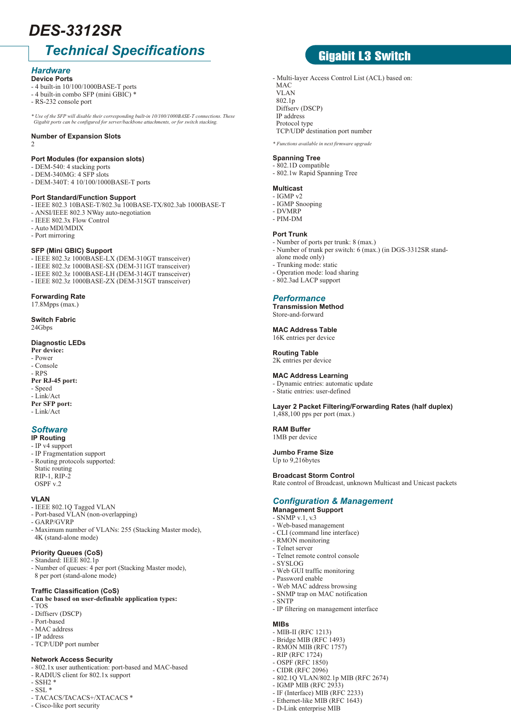## *DES-3312SR*

## *Technical Specifications*

#### *Hardware* **Device Ports**

- 4 built-in 10/100/1000BASE-T ports
- 4 built-in combo SFP (mini GBIC) \*
- RS-232 console port
- *\* Use of the SFP will disable their corresponding built-in 10/100/1000BASE-T connections. These Gigabit ports can be configured for server/backbone attachments, or for switch stacking.*

#### **Number of Expansion Slots**

2

#### **Port Modules (for expansion slots)**

- DEM-540: 4 stacking ports
- DEM-340MG: 4 SFP slots
- DEM-340T: 4 10/100/1000BASE-T ports

#### **Port Standard/Function Support**

- IEEE 802.3 10BASE-T/802.3u 100BASE-TX/802.3ab 1000BASE-T
- ANSI/IEEE 802.3 NWay auto-negotiation
- IEEE 802.3x Flow Control
- Auto MDI/MDIX
- Port mirroring

#### **SFP (Mini GBIC) Support**

- IEEE 802.3z 1000BASE-LX (DEM-310GT transceiver)
- IEEE 802.3z 1000BASE-SX (DEM-311GT transceiver)
- IEEE 802.3z 1000BASE-LH (DEM-314GT transceiver)
- IEEE 802.3z 1000BASE-ZX (DEM-315GT transceiver)

#### **Forwarding Rate**

17.8Mpps (max.)

**Switch Fabric** 24Gbps

#### **Diagnostic LEDs**

**Per device:**

- Power - Console
- RPS
- **Per RJ-45 port:**
- Speed
- Link/Act
- **Per SFP port:**
- Link/Act

#### *Software*

**IP Routing** - IP v4 support

- IP Fragmentation support
- Routing protocols supported: Static routing RIP-1, RIP-2
- **VLAN**

OSPF v.2

- IEEE 802.1Q Tagged VLAN
- Port-based VLAN (non-overlapping)
- GARP/GVRP
- Maximum number of VLANs: 255 (Stacking Master mode), 4K (stand-alone mode)

#### **Priority Queues (CoS)**

- Standard: IEEE 802.1p
- Number of queues: 4 per port (Stacking Master mode), 8 per port (stand-alone mode)

#### **Traffic Classification (CoS)**

#### **Can be based on user-definable application types:**

- TOS
- Diffserv (DSCP)
- Port-based
- MAC address
- IP address
- TCP/UDP port number

#### **Network Access Security**

- 802.1x user authentication: port-based and MAC-based
- RADIUS client for 802.1x support
- SSH2 \*
- $-$  SSL  $*$
- TACACS/TACACS+/XTACACS \*
- Cisco-like port security

## Gigabit L3 Switch

- Multi-layer Access Control List (ACL) based on:
- MAC. VLAN 802.1p Diffserv (DSCP) IP address Protocol type TCP/UDP destination port number

*\* Functions available in next firmware upgrade* 

#### **Spanning Tree**

- 802.1D compatible
- 802.1w Rapid Spanning Tree

#### **Multicast**

- $-$  IGMP  $v<sup>2</sup>$ - IGMP Snooping
- DVMRP
- PIM-DM

#### **Port Trunk**

- Number of ports per trunk: 8 (max.)
- Number of trunk per switch: 6 (max.) (in DGS-3312SR stand-
- alone mode only)
- Trunking mode: static
- Operation mode: load sharing - 802.3ad LACP support
- 

#### *Performance*

**Transmission Method** Store-and-forward

**MAC Address Table** 16K entries per device

**Routing Table**

### 2K entries per device

#### **MAC Address Learning**

- Dynamic entries: automatic update - Static entries: user-defined

**Layer 2 Packet Filtering/Forwarding Rates (half duplex)** 1,488,100 pps per port (max.)

#### **RAM Buffer**

1MB per device

### **Jumbo Frame Size**

Up to 9,216bytes

#### **Broadcast Storm Control**

Rate control of Broadcast, unknown Multicast and Unicast packets

#### *Configuration & Management*

**Management Support**

- Telnet server

- Password enable

- MIB-II (RFC 1213) - Bridge MIB (RFC 1493) - RMON MIB (RFC 1757) - RIP (RFC 1724) - OSPF (RFC 1850) - CIDR (RFC 2096)

- IGMP MIB (RFC 2933) - IF (Interface) MIB (RFC 2233) - Ethernet-like MIB (RFC 1643) - D-Link enterprise MIB

- SYSLOG

- SNTP

**MIBs**

- SNMP v.1, v.3
- Web-based management
- CLI (command line interface) - RMON monitoring

- Telnet remote control console

- Web GUI traffic monitoring

- Web MAC address browsing - SNMP trap on MAC notification

- IP filtering on management interface

- 802.1Q VLAN/802.1p MIB (RFC 2674)